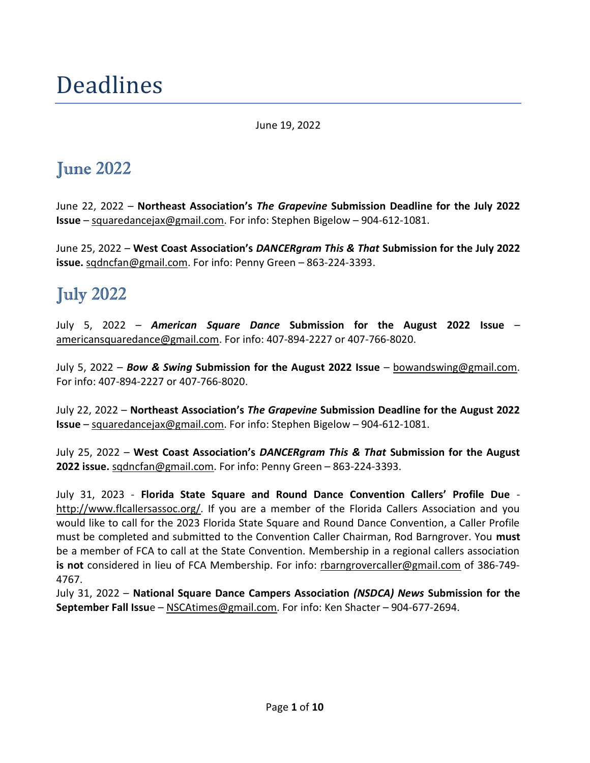# Deadlines

June 19, 2022

# June 2022

June 22, 2022 – Northeast Association's The Grapevine Submission Deadline for the July 2022 Issue – squaredancejax@gmail.com. For info: Stephen Bigelow – 904-612-1081.

June 25, 2022 – West Coast Association's DANCERgram This & That Submission for the July 2022 issue. sqdncfan@gmail.com. For info: Penny Green – 863-224-3393.

# July 2022

July 5, 2022 – American Square Dance Submission for the August 2022 Issue – americansquaredance@gmail.com. For info: 407-894-2227 or 407-766-8020.

July 5, 2022 – Bow & Swing Submission for the August 2022 Issue – bowandswing@gmail.com. For info: 407-894-2227 or 407-766-8020.

July 22, 2022 – Northeast Association's The Grapevine Submission Deadline for the August 2022 Issue – squaredancejax@gmail.com. For info: Stephen Bigelow – 904-612-1081.

July 25, 2022 – West Coast Association's DANCERgram This & That Submission for the August 2022 issue. sqdncfan@gmail.com. For info: Penny Green – 863-224-3393.

July 31, 2023 - Florida State Square and Round Dance Convention Callers' Profile Due http://www.flcallersassoc.org/. If you are a member of the Florida Callers Association and you would like to call for the 2023 Florida State Square and Round Dance Convention, a Caller Profile must be completed and submitted to the Convention Caller Chairman, Rod Barngrover. You must be a member of FCA to call at the State Convention. Membership in a regional callers association is not considered in lieu of FCA Membership. For info: rbarngrovercaller@gmail.com of 386-749-4767.

July 31, 2022 – National Square Dance Campers Association (NSDCA) News Submission for the September Fall Issue – NSCAtimes@gmail.com. For info: Ken Shacter – 904-677-2694.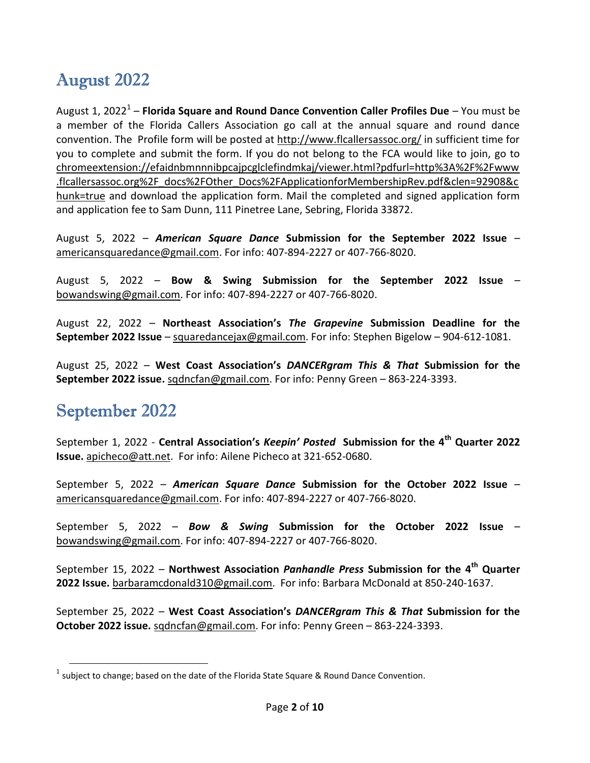## August 2022

August 1, 2022<sup>1</sup> – Florida Square and Round Dance Convention Caller Profiles Due – You must be a member of the Florida Callers Association go call at the annual square and round dance convention. The Profile form will be posted at http://www.flcallersassoc.org/ in sufficient time for you to complete and submit the form. If you do not belong to the FCA would like to join, go to chromeextension://efaidnbmnnnibpcajpcglclefindmkaj/viewer.html?pdfurl=http%3A%2F%2Fwww .flcallersassoc.org%2F\_docs%2FOther\_Docs%2FApplicationforMembershipRev.pdf&clen=92908&c hunk=true and download the application form. Mail the completed and signed application form and application fee to Sam Dunn, 111 Pinetree Lane, Sebring, Florida 33872.

August 5, 2022 – American Square Dance Submission for the September 2022 Issue – americansquaredance@gmail.com. For info: 407-894-2227 or 407-766-8020.

August 5, 2022 – Bow & Swing Submission for the September 2022 Issue – bowandswing@gmail.com. For info: 407-894-2227 or 407-766-8020.

August 22, 2022 - Northeast Association's The Grapevine Submission Deadline for the September 2022 Issue – squaredancejax@gmail.com. For info: Stephen Bigelow – 904-612-1081.

August 25, 2022 – West Coast Association's DANCERgram This & That Submission for the September 2022 issue. sgdncfan@gmail.com. For info: Penny Green - 863-224-3393.

## September 2022

September 1, 2022 - Central Association's Keepin' Posted Submission for the 4<sup>th</sup> Quarter 2022 Issue. apicheco@att.net. For info: Ailene Picheco at 321-652-0680.

September 5, 2022 – American Square Dance Submission for the October 2022 Issue – americansquaredance@gmail.com. For info: 407-894-2227 or 407-766-8020.

September 5, 2022 – Bow & Swing Submission for the October 2022 Issue – bowandswing@gmail.com. For info: 407-894-2227 or 407-766-8020.

September 15, 2022 – Northwest Association *Panhandle Press* Submission for the  $4<sup>th</sup>$  Quarter 2022 Issue. barbaramcdonald310@gmail.com. For info: Barbara McDonald at 850-240-1637.

September 25, 2022 – West Coast Association's DANCERgram This & That Submission for the October 2022 issue. sqdncfan@gmail.com. For info: Penny Green – 863-224-3393.

 $<sup>1</sup>$  subject to change; based on the date of the Florida State Square & Round Dance Convention.</sup>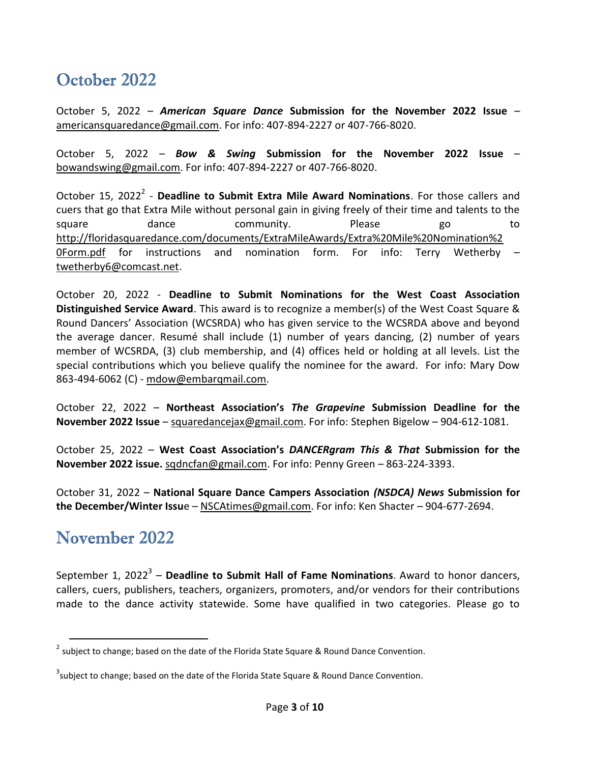## October 2022

October 5, 2022 - American Square Dance Submission for the November 2022 Issue americansquaredance@gmail.com. For info: 407-894-2227 or 407-766-8020.

October 5, 2022 – Bow & Swing Submission for the November 2022 Issue – bowandswing@gmail.com. For info: 407-894-2227 or 407-766-8020.

October 15, 2022<sup>2</sup> - Deadline to Submit Extra Mile Award Nominations. For those callers and cuers that go that Extra Mile without personal gain in giving freely of their time and talents to the square dance community. Please go to http://floridasquaredance.com/documents/ExtraMileAwards/Extra%20Mile%20Nomination%2 0Form.pdf for instructions and nomination form. For info: Terry Wetherby – twetherby6@comcast.net.

October 20, 2022 - Deadline to Submit Nominations for the West Coast Association Distinguished Service Award. This award is to recognize a member(s) of the West Coast Square & Round Dancers' Association (WCSRDA) who has given service to the WCSRDA above and beyond the average dancer. Resumé shall include (1) number of years dancing, (2) number of years member of WCSRDA, (3) club membership, and (4) offices held or holding at all levels. List the special contributions which you believe qualify the nominee for the award. For info: Mary Dow 863-494-6062 (C) - mdow@embarqmail.com.

October 22, 2022 – Northeast Association's The Grapevine Submission Deadline for the November 2022 Issue – squaredancejax@gmail.com. For info: Stephen Bigelow – 904-612-1081.

October 25, 2022 – West Coast Association's DANCERgram This & That Submission for the November 2022 issue. sqdncfan@gmail.com. For info: Penny Green – 863-224-3393.

October 31, 2022 – National Square Dance Campers Association (NSDCA) News Submission for the December/Winter Issue - NSCAtimes@gmail.com. For info: Ken Shacter - 904-677-2694.

# November 2022

September 1, 2022<sup>3</sup> - Deadline to Submit Hall of Fame Nominations. Award to honor dancers, callers, cuers, publishers, teachers, organizers, promoters, and/or vendors for their contributions made to the dance activity statewide. Some have qualified in two categories. Please go to

 $^{2}$  subject to change; based on the date of the Florida State Square & Round Dance Convention.

 $3$ subject to change; based on the date of the Florida State Square & Round Dance Convention.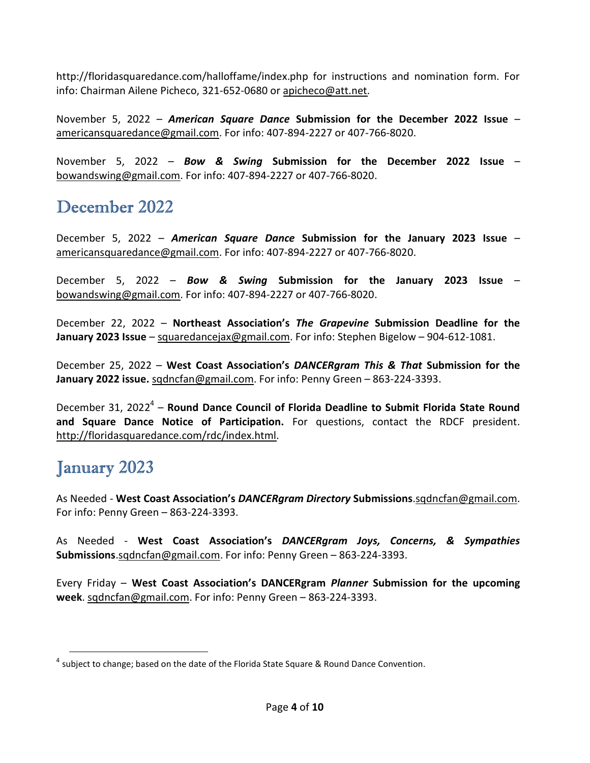http://floridasquaredance.com/halloffame/index.php for instructions and nomination form. For info: Chairman Ailene Picheco, 321-652-0680 or apicheco@att.net.

November 5, 2022 – American Square Dance Submission for the December 2022 Issue – americansquaredance@gmail.com. For info: 407-894-2227 or 407-766-8020.

November 5, 2022 – Bow & Swing Submission for the December 2022 Issue – bowandswing@gmail.com. For info: 407-894-2227 or 407-766-8020.

## December 2022

December 5, 2022 - American Square Dance Submission for the January 2023 Issue americansquaredance@gmail.com. For info: 407-894-2227 or 407-766-8020.

December 5, 2022 – Bow & Swing Submission for the January 2023 Issue – bowandswing@gmail.com. For info: 407-894-2227 or 407-766-8020.

December 22, 2022 – Northeast Association's The Grapevine Submission Deadline for the January 2023 Issue – squaredancejax@gmail.com. For info: Stephen Bigelow – 904-612-1081.

December 25, 2022 – West Coast Association's DANCERgram This & That Submission for the January 2022 issue. sgdncfan@gmail.com. For info: Penny Green - 863-224-3393.

December 31, 2022<sup>4</sup> - Round Dance Council of Florida Deadline to Submit Florida State Round and Square Dance Notice of Participation. For questions, contact the RDCF president. http://floridasquaredance.com/rdc/index.html.

#### January 2023

 $\overline{a}$ 

As Needed - West Coast Association's DANCERgram Directory Submissions.sqdncfan@gmail.com. For info: Penny Green – 863-224-3393.

As Needed - West Coast Association's DANCERgram Joys, Concerns, & Sympathies Submissions.sqdncfan@gmail.com. For info: Penny Green – 863-224-3393.

Every Friday – West Coast Association's DANCERgram Planner Submission for the upcoming week. sqdncfan@gmail.com. For info: Penny Green – 863-224-3393.

 $<sup>4</sup>$  subject to change; based on the date of the Florida State Square & Round Dance Convention.</sup>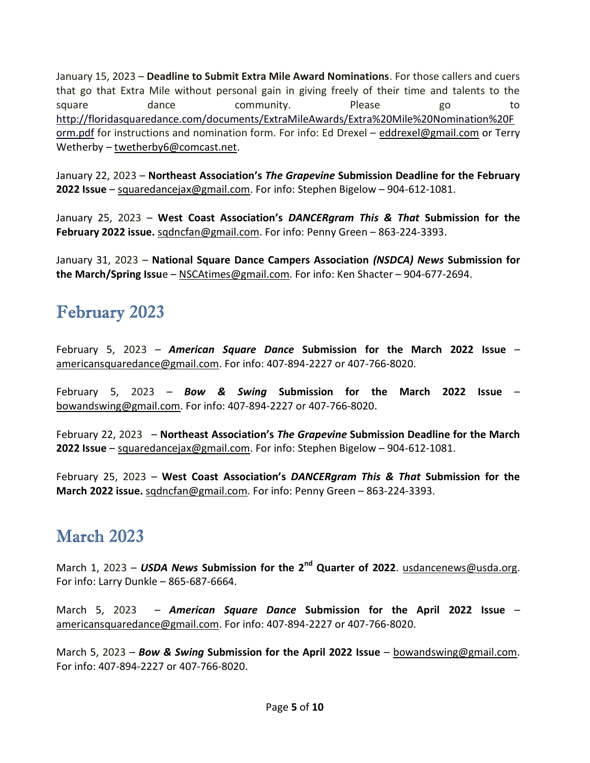January 15, 2023 – Deadline to Submit Extra Mile Award Nominations. For those callers and cuers that go that Extra Mile without personal gain in giving freely of their time and talents to the square dance community. Please go to http://floridasquaredance.com/documents/ExtraMileAwards/Extra%20Mile%20Nomination%20F orm.pdf for instructions and nomination form. For info: Ed Drexel – eddrexel@gmail.com or Terry Wetherby – twetherby6@comcast.net.

January 22, 2023 – Northeast Association's The Grapevine Submission Deadline for the February 2022 Issue – squaredancejax@gmail.com. For info: Stephen Bigelow – 904-612-1081.

January 25, 2023 – West Coast Association's DANCERgram This & That Submission for the February 2022 issue. sgdncfan@gmail.com. For info: Penny Green - 863-224-3393.

January 31, 2023 – National Square Dance Campers Association (NSDCA) News Submission for the March/Spring Issue – NSCAtimes@gmail.com. For info: Ken Shacter – 904-677-2694.

#### February 2023

February 5, 2023 – American Square Dance Submission for the March 2022 Issue – americansquaredance@gmail.com. For info: 407-894-2227 or 407-766-8020.

February 5, 2023 - Bow & Swing Submission for the March 2022 Issue bowandswing@gmail.com. For info: 407-894-2227 or 407-766-8020.

February 22, 2023 – Northeast Association's The Grapevine Submission Deadline for the March 2022 Issue – squaredancejax@gmail.com. For info: Stephen Bigelow – 904-612-1081.

February 25, 2023 - West Coast Association's DANCERgram This & That Submission for the March 2022 issue. sqdncfan@gmail.com. For info: Penny Green – 863-224-3393.

#### March 2023

March 1, 2023 – USDA News Submission for the 2<sup>nd</sup> Quarter of 2022. usdancenews@usda.org. For info: Larry Dunkle – 865-687-6664.

March 5, 2023 – American Square Dance Submission for the April 2022 Issue – americansquaredance@gmail.com. For info: 407-894-2227 or 407-766-8020.

March 5, 2023 – **Bow & Swing Submission for the April 2022 Issue** – bowandswing@gmail.com. For info: 407-894-2227 or 407-766-8020.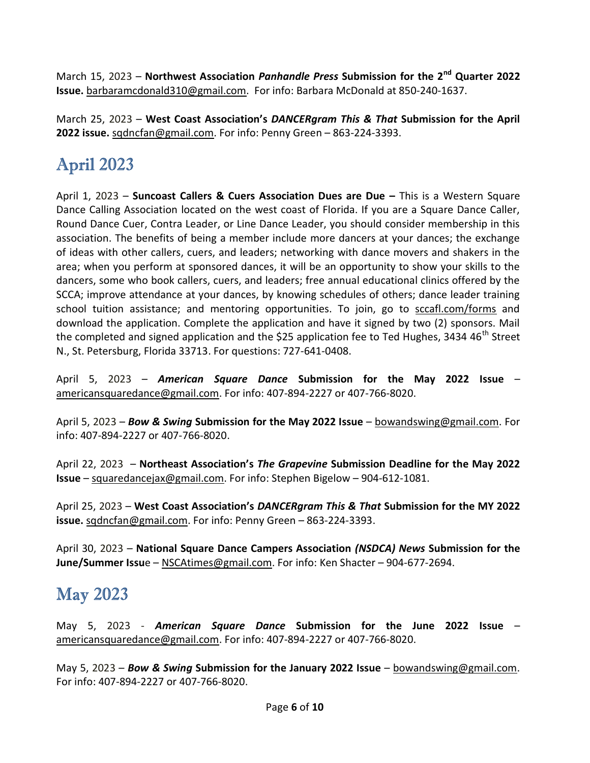March 15, 2023 – Northwest Association Panhandle Press Submission for the 2<sup>nd</sup> Quarter 2022 Issue. barbaramcdonald310@gmail.com. For info: Barbara McDonald at 850-240-1637.

March 25, 2023 – West Coast Association's DANCERgram This & That Submission for the April 2022 issue. sqdncfan@gmail.com. For info: Penny Green – 863-224-3393.

# April 2023

April 1, 2023 - Suncoast Callers & Cuers Association Dues are Due - This is a Western Square Dance Calling Association located on the west coast of Florida. If you are a Square Dance Caller, Round Dance Cuer, Contra Leader, or Line Dance Leader, you should consider membership in this association. The benefits of being a member include more dancers at your dances; the exchange of ideas with other callers, cuers, and leaders; networking with dance movers and shakers in the area; when you perform at sponsored dances, it will be an opportunity to show your skills to the dancers, some who book callers, cuers, and leaders; free annual educational clinics offered by the SCCA; improve attendance at your dances, by knowing schedules of others; dance leader training school tuition assistance; and mentoring opportunities. To join, go to sccafl.com/forms and download the application. Complete the application and have it signed by two (2) sponsors. Mail the completed and signed application and the \$25 application fee to Ted Hughes, 3434 46<sup>th</sup> Street N., St. Petersburg, Florida 33713. For questions: 727-641-0408.

April 5, 2023 – American Square Dance Submission for the May 2022 Issue – americansquaredance@gmail.com. For info: 407-894-2227 or 407-766-8020.

April 5, 2023 – **Bow & Swing Submission for the May 2022 Issue** – bowandswing@gmail.com. For info: 407-894-2227 or 407-766-8020.

April 22, 2023 - Northeast Association's The Grapevine Submission Deadline for the May 2022 Issue – squaredancejax@gmail.com. For info: Stephen Bigelow – 904-612-1081.

April 25, 2023 – West Coast Association's DANCERgram This & That Submission for the MY 2022 issue. sqdncfan@gmail.com. For info: Penny Green – 863-224-3393.

April 30, 2023 – National Square Dance Campers Association (NSDCA) News Submission for the June/Summer Issue – NSCAtimes@gmail.com. For info: Ken Shacter – 904-677-2694.

#### May 2023

May 5, 2023 - American Square Dance Submission for the June 2022 Issue  $$ americansquaredance@gmail.com. For info: 407-894-2227 or 407-766-8020.

May 5, 2023 – Bow & Swing Submission for the January 2022 Issue – bowandswing@gmail.com. For info: 407-894-2227 or 407-766-8020.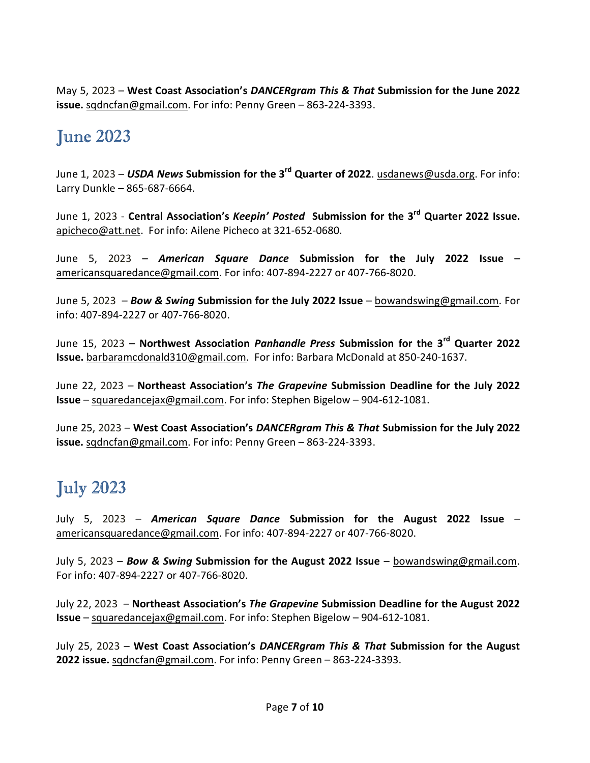May 5, 2023 – West Coast Association's DANCERgram This & That Submission for the June 2022 issue. sqdncfan@gmail.com. For info: Penny Green – 863-224-3393.

# June 2023

June 1, 2023 – USDA News Submission for the 3<sup>rd</sup> Quarter of 2022. usdanews@usda.org. For info: Larry Dunkle – 865-687-6664.

June 1, 2023 - Central Association's Keepin' Posted Submission for the 3<sup>rd</sup> Quarter 2022 Issue. apicheco@att.net. For info: Ailene Picheco at 321-652-0680.

June 5, 2023 – American Square Dance Submission for the July 2022 Issue – americansquaredance@gmail.com. For info: 407-894-2227 or 407-766-8020.

June 5, 2023 - Bow & Swing Submission for the July 2022 Issue - bowandswing@gmail.com. For info: 407-894-2227 or 407-766-8020.

June 15, 2023 - Northwest Association Panhandle Press Submission for the 3<sup>rd</sup> Quarter 2022 Issue. barbaramcdonald310@gmail.com. For info: Barbara McDonald at 850-240-1637.

June 22, 2023 – Northeast Association's The Grapevine Submission Deadline for the July 2022 Issue – squaredancejax@gmail.com. For info: Stephen Bigelow – 904-612-1081.

June 25, 2023 – West Coast Association's DANCERgram This & That Submission for the July 2022 issue. sqdncfan@gmail.com. For info: Penny Green – 863-224-3393.

# July 2023

July 5, 2023 - American Square Dance Submission for the August 2022 Issue americansquaredance@gmail.com. For info: 407-894-2227 or 407-766-8020.

July 5, 2023 – Bow & Swing Submission for the August 2022 Issue – bowandswing@gmail.com. For info: 407-894-2227 or 407-766-8020.

July 22, 2023 - Northeast Association's The Grapevine Submission Deadline for the August 2022 Issue – squaredancejax@gmail.com. For info: Stephen Bigelow – 904-612-1081.

July 25, 2023 – West Coast Association's DANCERgram This & That Submission for the August 2022 issue. sqdncfan@gmail.com. For info: Penny Green – 863-224-3393.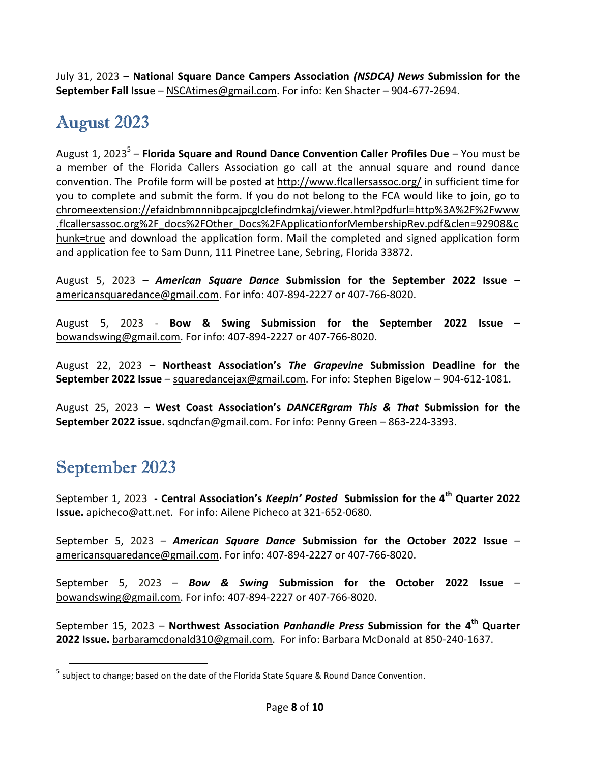July 31, 2023 – National Square Dance Campers Association (NSDCA) News Submission for the September Fall Issue – NSCAtimes@gmail.com. For info: Ken Shacter – 904-677-2694.

# August 2023

August 1, 2023<sup>5</sup> – Florida Square and Round Dance Convention Caller Profiles Due – You must be a member of the Florida Callers Association go call at the annual square and round dance convention. The Profile form will be posted at http://www.flcallersassoc.org/ in sufficient time for you to complete and submit the form. If you do not belong to the FCA would like to join, go to chromeextension://efaidnbmnnnibpcajpcglclefindmkaj/viewer.html?pdfurl=http%3A%2F%2Fwww .flcallersassoc.org%2F\_docs%2FOther\_Docs%2FApplicationforMembershipRev.pdf&clen=92908&c hunk=true and download the application form. Mail the completed and signed application form and application fee to Sam Dunn, 111 Pinetree Lane, Sebring, Florida 33872.

August 5, 2023 – American Square Dance Submission for the September 2022 Issue – americansquaredance@gmail.com. For info: 407-894-2227 or 407-766-8020.

August 5, 2023 - Bow & Swing Submission for the September 2022 Issue – bowandswing@gmail.com. For info: 407-894-2227 or 407-766-8020.

August 22, 2023 - Northeast Association's The Grapevine Submission Deadline for the September 2022 Issue – squaredancejax@gmail.com. For info: Stephen Bigelow – 904-612-1081.

August 25, 2023 - West Coast Association's DANCERgram This & That Submission for the September 2022 issue. sqdncfan@gmail.com. For info: Penny Green – 863-224-3393.

## September 2023

September 1, 2023 - Central Association's Keepin' Posted Submission for the 4<sup>th</sup> Quarter 2022 Issue. apicheco@att.net. For info: Ailene Picheco at 321-652-0680.

September 5, 2023 – American Square Dance Submission for the October 2022 Issue – americansquaredance@gmail.com. For info: 407-894-2227 or 407-766-8020.

September 5, 2023 - Bow & Swing Submission for the October 2022 Issue bowandswing@gmail.com. For info: 407-894-2227 or 407-766-8020.

September 15, 2023 – Northwest Association *Panhandle Press* Submission for the  $4<sup>th</sup>$  Quarter 2022 Issue. barbaramcdonald310@gmail.com. For info: Barbara McDonald at 850-240-1637.

<sup>&</sup>lt;sup>5</sup> subject to change; based on the date of the Florida State Square & Round Dance Convention.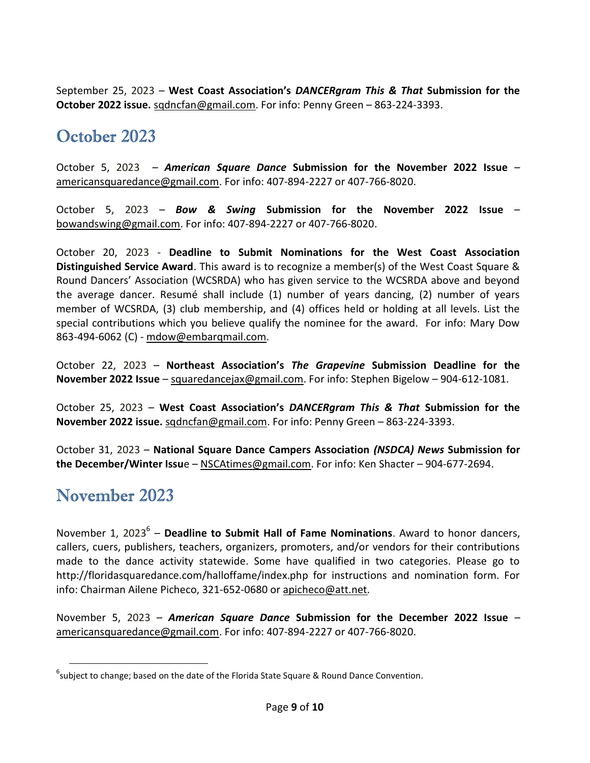September 25, 2023 – West Coast Association's DANCERgram This & That Submission for the October 2022 issue. sqdncfan@gmail.com. For info: Penny Green – 863-224-3393.

#### October 2023

October 5, 2023 - American Square Dance Submission for the November 2022 Issue americansquaredance@gmail.com. For info: 407-894-2227 or 407-766-8020.

October 5, 2023 – Bow & Swing Submission for the November 2022 Issue – bowandswing@gmail.com. For info: 407-894-2227 or 407-766-8020.

October 20, 2023 - Deadline to Submit Nominations for the West Coast Association Distinguished Service Award. This award is to recognize a member(s) of the West Coast Square & Round Dancers' Association (WCSRDA) who has given service to the WCSRDA above and beyond the average dancer. Resumé shall include (1) number of years dancing, (2) number of years member of WCSRDA, (3) club membership, and (4) offices held or holding at all levels. List the special contributions which you believe qualify the nominee for the award. For info: Mary Dow 863-494-6062 (C) - mdow@embarqmail.com.

October 22, 2023 – Northeast Association's The Grapevine Submission Deadline for the November 2022 Issue – squaredancejax@gmail.com. For info: Stephen Bigelow – 904-612-1081.

October 25, 2023 - West Coast Association's DANCERgram This & That Submission for the November 2022 issue. sqdncfan@gmail.com. For info: Penny Green – 863-224-3393.

October 31, 2023 – National Square Dance Campers Association (NSDCA) News Submission for the December/Winter Issue – NSCAtimes@gmail.com. For info: Ken Shacter – 904-677-2694.

#### November 2023

November 1, 2023<sup>6</sup> - Deadline to Submit Hall of Fame Nominations. Award to honor dancers, callers, cuers, publishers, teachers, organizers, promoters, and/or vendors for their contributions made to the dance activity statewide. Some have qualified in two categories. Please go to http://floridasquaredance.com/halloffame/index.php for instructions and nomination form. For info: Chairman Ailene Picheco, 321-652-0680 or apicheco@att.net.

November 5, 2023 – American Square Dance Submission for the December 2022 Issue – americansquaredance@gmail.com. For info: 407-894-2227 or 407-766-8020.

<sup>&</sup>lt;sup>6</sup>subject to change; based on the date of the Florida State Square & Round Dance Convention.